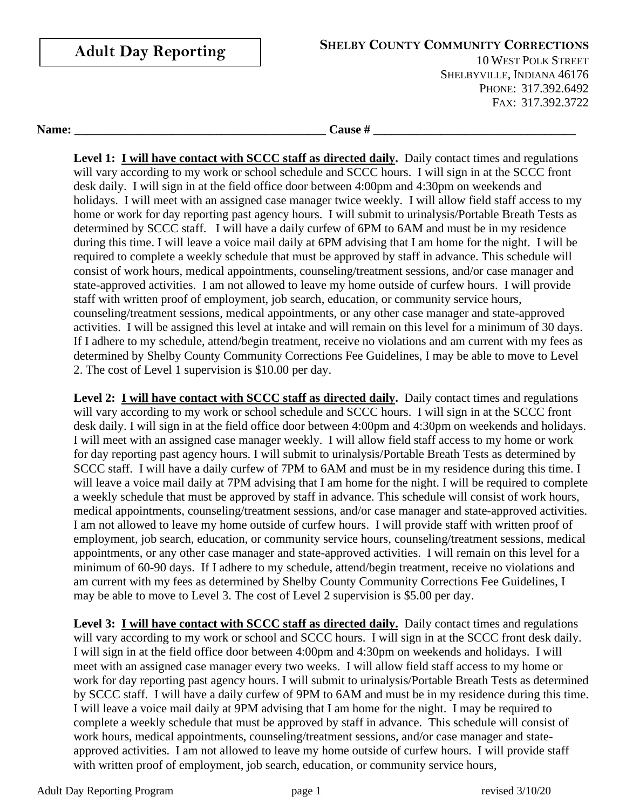| <b>Adult Day Reporting</b> | <b>SHELBY COUNTY COMMUNITY CORRECTIONS</b><br><b>10 WEST POLK STREET</b><br>SHELBYVILLE, INDIANA 46176<br>PHONE: 317.392.6492<br>FAX: 317.392.3722 |  |
|----------------------------|----------------------------------------------------------------------------------------------------------------------------------------------------|--|
| Name:                      | <b>Cause</b> #                                                                                                                                     |  |

**Level 1: I will have contact with SCCC staff as directed daily.** Daily contact times and regulations will vary according to my work or school schedule and SCCC hours. I will sign in at the SCCC front desk daily. I will sign in at the field office door between 4:00pm and 4:30pm on weekends and holidays. I will meet with an assigned case manager twice weekly. I will allow field staff access to my home or work for day reporting past agency hours. I will submit to urinalysis/Portable Breath Tests as determined by SCCC staff. I will have a daily curfew of 6PM to 6AM and must be in my residence during this time. I will leave a voice mail daily at 6PM advising that I am home for the night. I will be required to complete a weekly schedule that must be approved by staff in advance. This schedule will consist of work hours, medical appointments, counseling/treatment sessions, and/or case manager and state-approved activities. I am not allowed to leave my home outside of curfew hours. I will provide staff with written proof of employment, job search, education, or community service hours, counseling/treatment sessions, medical appointments, or any other case manager and state-approved activities. I will be assigned this level at intake and will remain on this level for a minimum of 30 days. If I adhere to my schedule, attend/begin treatment, receive no violations and am current with my fees as determined by Shelby County Community Corrections Fee Guidelines, I may be able to move to Level 2. The cost of Level 1 supervision is \$10.00 per day.

**Level 2: I will have contact with SCCC staff as directed daily.** Daily contact times and regulations will vary according to my work or school schedule and SCCC hours. I will sign in at the SCCC front desk daily. I will sign in at the field office door between 4:00pm and 4:30pm on weekends and holidays. I will meet with an assigned case manager weekly. I will allow field staff access to my home or work for day reporting past agency hours. I will submit to urinalysis/Portable Breath Tests as determined by SCCC staff. I will have a daily curfew of 7PM to 6AM and must be in my residence during this time. I will leave a voice mail daily at 7PM advising that I am home for the night. I will be required to complete a weekly schedule that must be approved by staff in advance. This schedule will consist of work hours, medical appointments, counseling/treatment sessions, and/or case manager and state-approved activities. I am not allowed to leave my home outside of curfew hours. I will provide staff with written proof of employment, job search, education, or community service hours, counseling/treatment sessions, medical appointments, or any other case manager and state-approved activities. I will remain on this level for a minimum of 60-90 days. If I adhere to my schedule, attend/begin treatment, receive no violations and am current with my fees as determined by Shelby County Community Corrections Fee Guidelines, I may be able to move to Level 3. The cost of Level 2 supervision is \$5.00 per day.

**Level 3: I will have contact with SCCC staff as directed daily.** Daily contact times and regulations will vary according to my work or school and SCCC hours. I will sign in at the SCCC front desk daily. I will sign in at the field office door between 4:00pm and 4:30pm on weekends and holidays. I will meet with an assigned case manager every two weeks. I will allow field staff access to my home or work for day reporting past agency hours. I will submit to urinalysis/Portable Breath Tests as determined by SCCC staff. I will have a daily curfew of 9PM to 6AM and must be in my residence during this time. I will leave a voice mail daily at 9PM advising that I am home for the night. I may be required to complete a weekly schedule that must be approved by staff in advance. This schedule will consist of work hours, medical appointments, counseling/treatment sessions, and/or case manager and stateapproved activities. I am not allowed to leave my home outside of curfew hours. I will provide staff with written proof of employment, job search, education, or community service hours,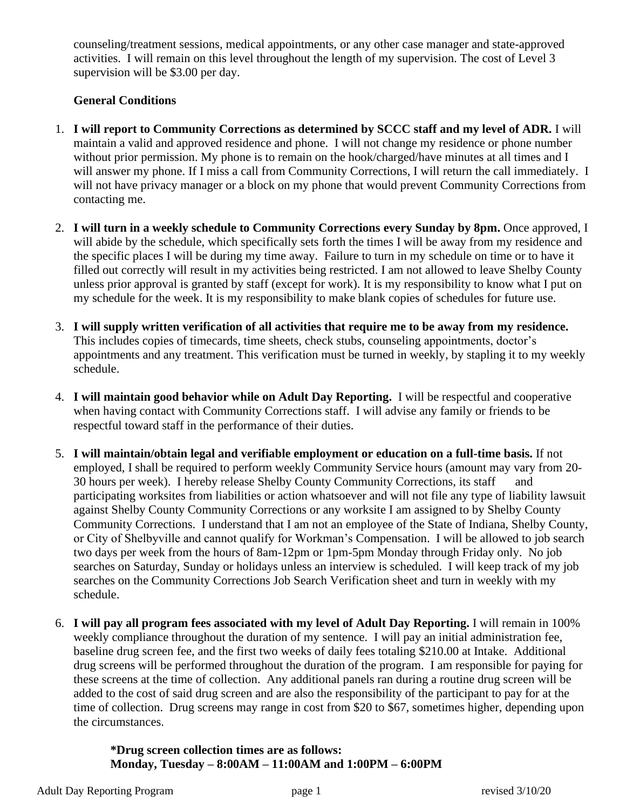counseling/treatment sessions, medical appointments, or any other case manager and state-approved activities. I will remain on this level throughout the length of my supervision. The cost of Level 3 supervision will be \$3.00 per day.

## **General Conditions**

- 1. **I will report to Community Corrections as determined by SCCC staff and my level of ADR.** I will maintain a valid and approved residence and phone. I will not change my residence or phone number without prior permission. My phone is to remain on the hook/charged/have minutes at all times and I will answer my phone. If I miss a call from Community Corrections, I will return the call immediately. I will not have privacy manager or a block on my phone that would prevent Community Corrections from contacting me.
- 2. **I will turn in a weekly schedule to Community Corrections every Sunday by 8pm.** Once approved, I will abide by the schedule, which specifically sets forth the times I will be away from my residence and the specific places I will be during my time away. Failure to turn in my schedule on time or to have it filled out correctly will result in my activities being restricted. I am not allowed to leave Shelby County unless prior approval is granted by staff (except for work). It is my responsibility to know what I put on my schedule for the week. It is my responsibility to make blank copies of schedules for future use.
- 3. **I will supply written verification of all activities that require me to be away from my residence.** This includes copies of timecards, time sheets, check stubs, counseling appointments, doctor's appointments and any treatment. This verification must be turned in weekly, by stapling it to my weekly schedule.
- 4. **I will maintain good behavior while on Adult Day Reporting.** I will be respectful and cooperative when having contact with Community Corrections staff. I will advise any family or friends to be respectful toward staff in the performance of their duties.
- 5. **I will maintain/obtain legal and verifiable employment or education on a full-time basis.** If not employed, I shall be required to perform weekly Community Service hours (amount may vary from 20- 30 hours per week). I hereby release Shelby County Community Corrections, its staff and participating worksites from liabilities or action whatsoever and will not file any type of liability lawsuit against Shelby County Community Corrections or any worksite I am assigned to by Shelby County Community Corrections. I understand that I am not an employee of the State of Indiana, Shelby County, or City of Shelbyville and cannot qualify for Workman's Compensation. I will be allowed to job search two days per week from the hours of 8am-12pm or 1pm-5pm Monday through Friday only. No job searches on Saturday, Sunday or holidays unless an interview is scheduled. I will keep track of my job searches on the Community Corrections Job Search Verification sheet and turn in weekly with my schedule.
- 6. **I will pay all program fees associated with my level of Adult Day Reporting.** I will remain in 100% weekly compliance throughout the duration of my sentence. I will pay an initial administration fee, baseline drug screen fee, and the first two weeks of daily fees totaling \$210.00 at Intake. Additional drug screens will be performed throughout the duration of the program. I am responsible for paying for these screens at the time of collection. Any additional panels ran during a routine drug screen will be added to the cost of said drug screen and are also the responsibility of the participant to pay for at the time of collection. Drug screens may range in cost from \$20 to \$67, sometimes higher, depending upon the circumstances.

**\*Drug screen collection times are as follows: Monday, Tuesday – 8:00AM – 11:00AM and 1:00PM – 6:00PM**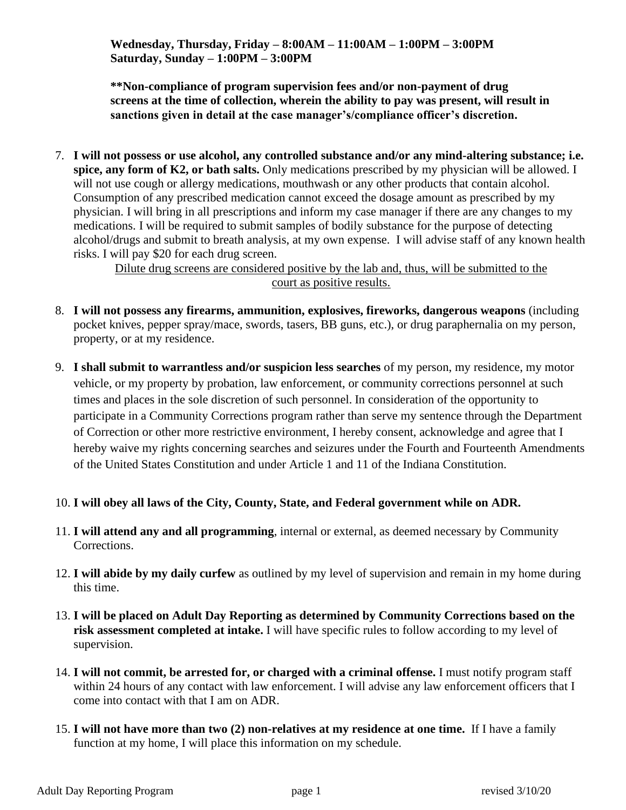**Wednesday, Thursday, Friday – 8:00AM – 11:00AM – 1:00PM – 3:00PM Saturday, Sunday – 1:00PM – 3:00PM**

**\*\*Non-compliance of program supervision fees and/or non-payment of drug screens at the time of collection, wherein the ability to pay was present, will result in sanctions given in detail at the case manager's/compliance officer's discretion.**

7. **I will not possess or use alcohol, any controlled substance and/or any mind-altering substance; i.e. spice, any form of K2, or bath salts.** Only medications prescribed by my physician will be allowed. I will not use cough or allergy medications, mouthwash or any other products that contain alcohol. Consumption of any prescribed medication cannot exceed the dosage amount as prescribed by my physician. I will bring in all prescriptions and inform my case manager if there are any changes to my medications. I will be required to submit samples of bodily substance for the purpose of detecting alcohol/drugs and submit to breath analysis, at my own expense. I will advise staff of any known health risks. I will pay \$20 for each drug screen.

> Dilute drug screens are considered positive by the lab and, thus, will be submitted to the court as positive results.

- 8. **I will not possess any firearms, ammunition, explosives, fireworks, dangerous weapons** (including pocket knives, pepper spray/mace, swords, tasers, BB guns, etc.), or drug paraphernalia on my person, property, or at my residence.
- 9. **I shall submit to warrantless and/or suspicion less searches** of my person, my residence, my motor vehicle, or my property by probation, law enforcement, or community corrections personnel at such times and places in the sole discretion of such personnel. In consideration of the opportunity to participate in a Community Corrections program rather than serve my sentence through the Department of Correction or other more restrictive environment, I hereby consent, acknowledge and agree that I hereby waive my rights concerning searches and seizures under the Fourth and Fourteenth Amendments of the United States Constitution and under Article 1 and 11 of the Indiana Constitution.
- 10. **I will obey all laws of the City, County, State, and Federal government while on ADR.**
- 11. **I will attend any and all programming**, internal or external, as deemed necessary by Community Corrections.
- 12. **I will abide by my daily curfew** as outlined by my level of supervision and remain in my home during this time.
- 13. **I will be placed on Adult Day Reporting as determined by Community Corrections based on the risk assessment completed at intake.** I will have specific rules to follow according to my level of supervision.
- 14. **I will not commit, be arrested for, or charged with a criminal offense.** I must notify program staff within 24 hours of any contact with law enforcement. I will advise any law enforcement officers that I come into contact with that I am on ADR.
- 15. **I will not have more than two (2) non-relatives at my residence at one time.** If I have a family function at my home, I will place this information on my schedule.